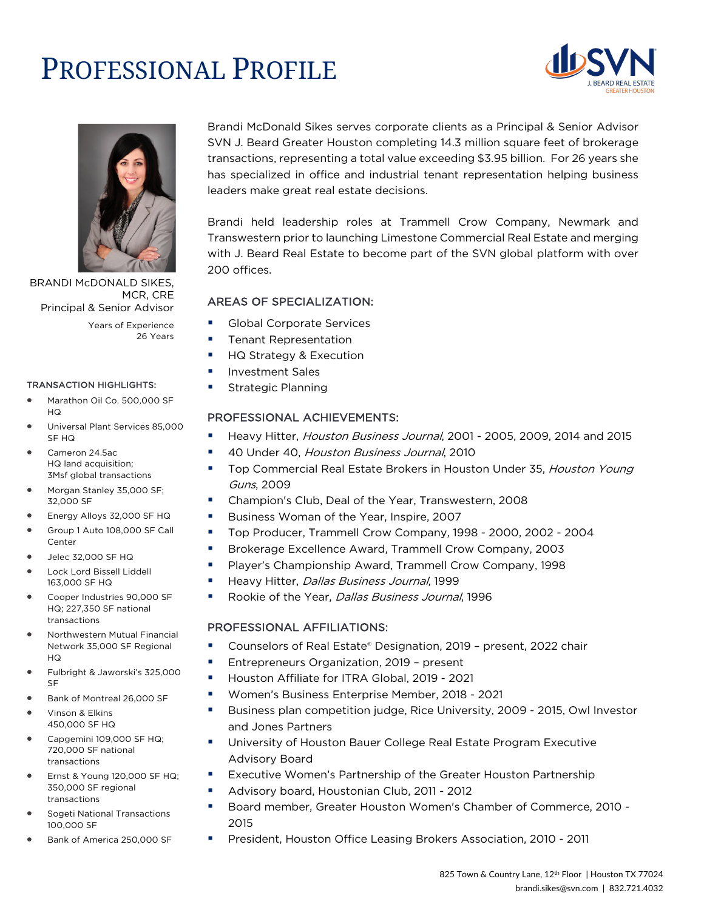# PROFESSIONAL PROFILE





BRANDI McDONALD SIKES, MCR, CRE Principal & Senior Advisor

Years of Experience 26 Years

#### TRANSACTION HIGHLIGHTS:

- Marathon Oil Co. 500,000 SF HQ
- Universal Plant Services 85,000 SF HQ
- Cameron 24.5ac HQ land acquisition; 3Msf global transactions
- Morgan Stanley 35,000 SF; 32,000 SF
- Energy Alloys 32,000 SF HQ
- Group 1 Auto 108,000 SF Call Center
- Jelec 32,000 SF HQ
- Lock Lord Bissell Liddell 163,000 SF HQ
- Cooper Industries 90,000 SF HQ; 227,350 SF national transactions
- Northwestern Mutual Financial Network 35,000 SF Regional HQ
- Fulbright & Jaworski's 325,000 SF
- Bank of Montreal 26,000 SF
- Vinson & Elkins 450,000 SF HQ
- Capgemini 109,000 SF HQ; 720,000 SF national transactions
- Ernst & Young 120,000 SF HQ; 350,000 SF regional transactions
- Sogeti National Transactions 100,000 SF
- Bank of America 250,000 SF

Brandi McDonald Sikes serves corporate clients as a Principal & Senior Advisor SVN J. Beard Greater Houston completing 14.3 million square feet of brokerage transactions, representing a total value exceeding \$3.95 billion. For 26 years she has specialized in office and industrial tenant representation helping business leaders make great real estate decisions.

Brandi held leadership roles at Trammell Crow Company, Newmark and Transwestern prior to launching Limestone Commercial Real Estate and merging with J. Beard Real Estate to become part of the SVN global platform with over 200 offices.

### AREAS OF SPECIALIZATION:

- Global Corporate Services
- **•** Tenant Representation
- § HQ Strategy & Execution
- § Investment Sales
- Strategic Planning

#### PROFESSIONAL ACHIEVEMENTS:

- Heavy Hitter, *Houston Business Journal*, 2001 2005, 2009, 2014 and 2015
- § 40 Under 40, Houston Business Journal, 2010
- Top Commercial Real Estate Brokers in Houston Under 35, Houston Young Guns, 2009
- § Champion's Club, Deal of the Year, Transwestern, 2008
- Business Woman of the Year, Inspire, 2007
- § Top Producer, Trammell Crow Company, 1998 2000, 2002 2004
- Brokerage Excellence Award, Trammell Crow Company, 2003
- § Player's Championship Award, Trammell Crow Company, 1998
- Heavy Hitter, Dallas Business Journal, 1999
- Rookie of the Year, *Dallas Business Journal*, 1996

#### PROFESSIONAL AFFILIATIONS:

- § Counselors of Real Estate® Designation, 2019 present, 2022 chair
- § Entrepreneurs Organization, 2019 present
- Houston Affiliate for ITRA Global, 2019 2021
- § Women's Business Enterprise Member, 2018 2021
- § Business plan competition judge, Rice University, 2009 2015, Owl Investor and Jones Partners
- University of Houston Bauer College Real Estate Program Executive Advisory Board
- Executive Women's Partnership of the Greater Houston Partnership
- Advisory board, Houstonian Club, 2011 2012
- § Board member, Greater Houston Women's Chamber of Commerce, 2010 2015
- President, Houston Office Leasing Brokers Association, 2010 2011